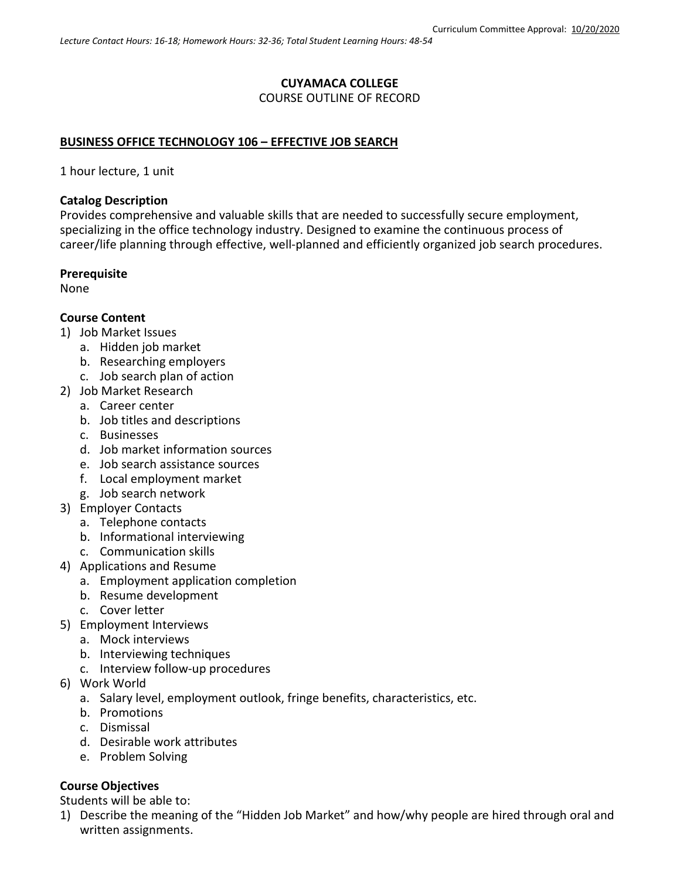## **CUYAMACA COLLEGE** COURSE OUTLINE OF RECORD

### **BUSINESS OFFICE TECHNOLOGY 106 – EFFECTIVE JOB SEARCH**

1 hour lecture, 1 unit

### **Catalog Description**

Provides comprehensive and valuable skills that are needed to successfully secure employment, specializing in the office technology industry. Designed to examine the continuous process of career/life planning through effective, well-planned and efficiently organized job search procedures.

### **Prerequisite**

None

### **Course Content**

- 1) Job Market Issues
	- a. Hidden job market
	- b. Researching employers
	- c. Job search plan of action
- 2) Job Market Research
	- a. Career center
	- b. Job titles and descriptions
	- c. Businesses
	- d. Job market information sources
	- e. Job search assistance sources
	- f. Local employment market
	- g. Job search network
- 3) Employer Contacts
	- a. Telephone contacts
	- b. Informational interviewing
	- c. Communication skills
- 4) Applications and Resume
	- a. Employment application completion
		- b. Resume development
		- c. Cover letter
- 5) Employment Interviews
	- a. Mock interviews
	- b. Interviewing techniques
	- c. Interview follow-up procedures
- 6) Work World
	- a. Salary level, employment outlook, fringe benefits, characteristics, etc.
	- b. Promotions
	- c. Dismissal
	- d. Desirable work attributes
	- e. Problem Solving

## **Course Objectives**

Students will be able to:

1) Describe the meaning of the "Hidden Job Market" and how/why people are hired through oral and written assignments.